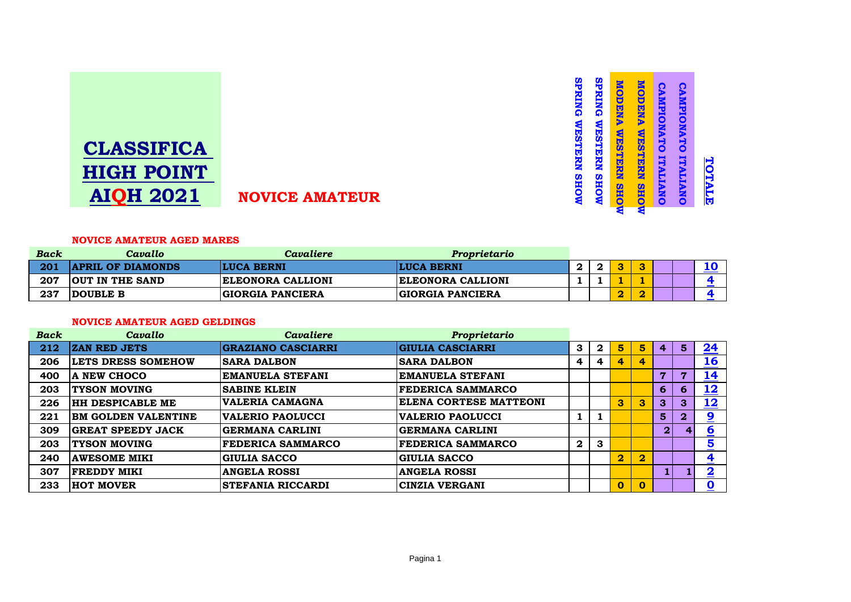# **CLASSIFICA HIGH POINT AIQH 2021 NOVICE AMATEUR**

#### **NOVICE AMATEUR AGED MARES**

| Back | Cavallo                  | Cavaliere                | Proprietario             |  |  |  |  |
|------|--------------------------|--------------------------|--------------------------|--|--|--|--|
| 201  | <b>APRIL OF DIAMONDS</b> | <b>LUCA BERNI</b>        | <b>LUCA BERNI</b>        |  |  |  |  |
| 207  | <b>OUT IN THE SAND</b>   | <b>ELEONORA CALLIONI</b> | <b>ELEONORA CALLIONI</b> |  |  |  |  |
| 237  | <b>DOUBLE B</b>          | <b>GIORGIA PANCIERA</b>  | <b>GIORGIA PANCIERA</b>  |  |  |  |  |

#### **NOVICE AMATEUR AGED GELDINGS**

| <b>Back</b> | Cavallo                    | Cavaliere                 | Proprietario                   |              |              |                         |                         |              |                |                         |
|-------------|----------------------------|---------------------------|--------------------------------|--------------|--------------|-------------------------|-------------------------|--------------|----------------|-------------------------|
| 212         | <b>ZAN RED JETS</b>        | <b>GRAZIANO CASCIARRI</b> | <b>GIULIA CASCIARRI</b>        | 3            | $\mathbf{2}$ | 5                       | 5 <sup>1</sup>          | 4            | 5 <sup>1</sup> | <u>24</u>               |
| 206         | <b>LETS DRESS SOMEHOW</b>  | <b>SARA DALBON</b>        | <b>SARA DALBON</b>             | 4            | 4            | 4                       | 4                       |              |                | <u>16</u>               |
| 400         | <b>A NEW CHOCO</b>         | <b>EMANUELA STEFANI</b>   | EMANUELA STEFANI               |              |              |                         |                         | 7            | 7              | <u> 14</u>              |
| 203         | <b>TYSON MOVING</b>        | <b>SABINE KLEIN</b>       | <b>FEDERICA SAMMARCO</b>       |              |              |                         |                         | 6            | 6              | <u> 12</u>              |
| 226         | <b>HH DESPICABLE ME</b>    | <b>VALERIA CAMAGNA</b>    | <b> ELENA CORTESE MATTEONI</b> |              |              | 3                       | $\mathbf{3}$            | $\mathbf{3}$ | $\mathbf{3}$   | 12                      |
| 221         | <b>BM GOLDEN VALENTINE</b> | <b>VALERIO PAOLUCCI</b>   | <b>VALERIO PAOLUCCI</b>        |              |              |                         |                         | 5            | $\mathbf{2}$   | $\overline{\mathbf{2}}$ |
| 309         | <b>GREAT SPEEDY JACK</b>   | <b>GERMANA CARLINI</b>    | <b>GERMANA CARLINI</b>         |              |              |                         |                         | 2            |                | $6\overline{6}$         |
| 203         | <b>TYSON MOVING</b>        | <b>FEDERICA SAMMARCO</b>  | <b>FEDERICA SAMMARCO</b>       | $\mathbf{2}$ | 3            |                         |                         |              |                | $\overline{\mathbf{5}}$ |
| 240         | <b>AWESOME MIKI</b>        | <b>GIULIA SACCO</b>       | <b>GIULIA SACCO</b>            |              |              | $\overline{\mathbf{2}}$ | $\overline{\mathbf{2}}$ |              |                | 4                       |
| 307         | <b>FREDDY MIKI</b>         | <b>ANGELA ROSSI</b>       | <b>ANGELA ROSSI</b>            |              |              |                         |                         |              |                | $\overline{\mathbf{2}}$ |
| 233         | <b>HOT MOVER</b>           | <b>STEFANIA RICCARDI</b>  | <b>CINZIA VERGANI</b>          |              |              | $\mathbf 0$             | $\mathbf{0}$            |              |                | 0                       |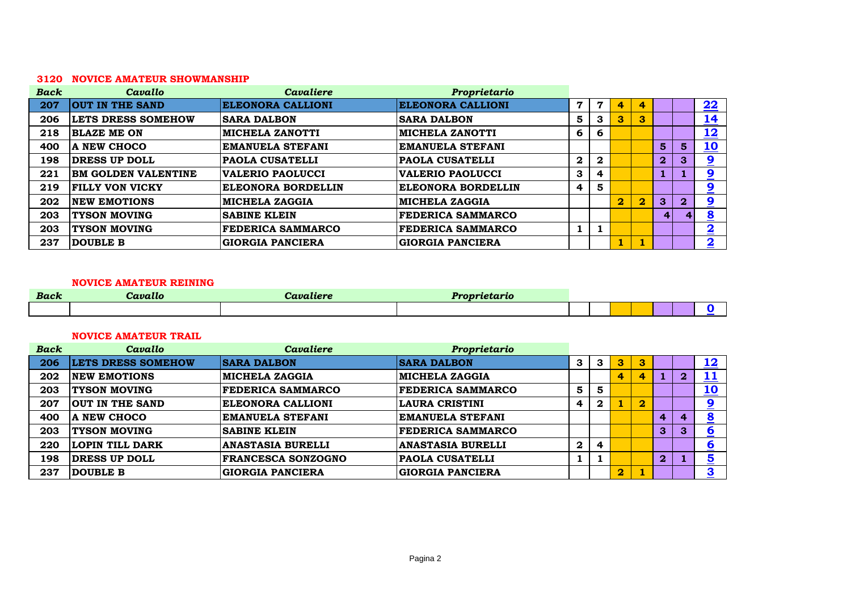#### **NOVICE AMATEUR SHOWMANSHIP**

| <b>Back</b> | Cavallo                    | <b>Cavaliere</b>          | Proprietario              |                         |              |                         |                         |                |                |                         |
|-------------|----------------------------|---------------------------|---------------------------|-------------------------|--------------|-------------------------|-------------------------|----------------|----------------|-------------------------|
| 207         | <b>OUT IN THE SAND</b>     | <b>ELEONORA CALLIONI</b>  | <b>ELEONORA CALLIONI</b>  | $\mathbf 7$             | 7            | 4                       | 4                       |                |                | 22                      |
| 206         | <b>LETS DRESS SOMEHOW</b>  | <b>SARA DALBON</b>        | <b>ISARA DALBON</b>       | 5                       | 3            | 3                       | 3                       |                |                | <u> 14</u>              |
| 218         | <b>BLAZE ME ON</b>         | <b>MICHELA ZANOTTI</b>    | <b>MICHELA ZANOTTI</b>    | 6                       | 6            |                         |                         |                |                | <u> 12</u>              |
| 400         | A NEW CHOCO                | <b>EMANUELA STEFANI</b>   | <b>EMANUELA STEFANI</b>   |                         |              |                         |                         | $5^{\prime}$   | $5\phantom{1}$ | <u> 10</u>              |
| 198         | <b>DRESS UP DOLL</b>       | <b>PAOLA CUSATELLI</b>    | <b>PAOLA CUSATELLI</b>    | $\mathbf{2}$            | $\mathbf{2}$ |                         |                         | 2 <sup>1</sup> | 3              | $\overline{\mathbf{2}}$ |
| 221         | <b>BM GOLDEN VALENTINE</b> | VALERIO PAOLUCCI          | <b>VALERIO PAOLUCCI</b>   | 3                       | 4            |                         |                         |                |                | $\overline{\mathbf{2}}$ |
| 219         | <b>FILLY VON VICKY</b>     | <b>ELEONORA BORDELLIN</b> | <b>ELEONORA BORDELLIN</b> | $\overline{\mathbf{4}}$ | 5            |                         |                         |                |                | $\overline{\mathbf{2}}$ |
| 202         | <b>INEW EMOTIONS</b>       | <b>MICHELA ZAGGIA</b>     | <b>MICHELA ZAGGIA</b>     |                         |              | $\overline{\mathbf{2}}$ | $\overline{\mathbf{2}}$ | 3 <sup>°</sup> | $\overline{2}$ | $\overline{\mathbf{2}}$ |
| 203         | <b>TYSON MOVING</b>        | <b>SABINE KLEIN</b>       | <b>FEDERICA SAMMARCO</b>  |                         |              |                         |                         | 4 <sup>1</sup> |                | 8                       |
| 203         | <b>TYSON MOVING</b>        | <b>FEDERICA SAMMARCO</b>  | <b>FEDERICA SAMMARCO</b>  |                         | L.           |                         |                         |                |                | $\overline{\mathbf{2}}$ |
| 237         | <b>DOUBLE B</b>            | <b>GIORGIA PANCIERA</b>   | <b>GIORGIA PANCIERA</b>   |                         |              |                         |                         |                |                | $\overline{\mathbf{2}}$ |

#### **NOVICE AMATEUR REINING**

| <b>Back</b> | Cavallo | <i>maliere</i> | $\boldsymbol{D}$ sense<br>rietario |  |  |  |  |
|-------------|---------|----------------|------------------------------------|--|--|--|--|
|             |         |                |                                    |  |  |  |  |

#### **NOVICE AMATEUR TRAIL**

| <b>Back</b> | Cavallo                   | <b>Cavaliere</b>          | Proprietario             |              |              |                |                         |                |                |                         |
|-------------|---------------------------|---------------------------|--------------------------|--------------|--------------|----------------|-------------------------|----------------|----------------|-------------------------|
| 206         | <b>LETS DRESS SOMEHOW</b> | <b>SARA DALBON</b>        | <b>SARA DALBON</b>       | 3            | 3            | 3              | 13                      |                |                | <u> 12</u>              |
| 202         | <b>NEW EMOTIONS</b>       | <b>MICHELA ZAGGIA</b>     | <b>MICHELA ZAGGIA</b>    |              |              | 4              |                         |                | $\overline{2}$ | <u> 11</u>              |
| 203         | <b>TYSON MOVING</b>       | <b>FEDERICA SAMMARCO</b>  | <b>FEDERICA SAMMARCO</b> | 5            | 5            |                |                         |                |                | <u>10</u>               |
| 207         | OUT IN THE SAND           | <b>ELEONORA CALLIONI</b>  | LAURA CRISTINI           | 4            | $\mathbf{2}$ |                | $\overline{\mathbf{2}}$ |                |                | 9                       |
| 400         | A NEW CHOCO               | <b>EMANUELA STEFANI</b>   | EMANUELA STEFANI         |              |              |                |                         | $\overline{4}$ | 4              | $\bullet$<br>O          |
| 203         | <b>TYSON MOVING</b>       | <b>SABINE KLEIN</b>       | <b>FEDERICA SAMMARCO</b> |              |              |                |                         | $\mathbf{3}$   | 3              | <u>6</u>                |
| 220         | <b>LOPIN TILL DARK</b>    | <b>ANASTASIA BURELLI</b>  | <b>ANASTASIA BURELLI</b> | $\mathbf{2}$ | 4            |                |                         |                |                | <u>6</u>                |
| 198         | <b>DRESS UP DOLL</b>      | <b>FRANCESCA SONZOGNO</b> | <b>PAOLA CUSATELLI</b>   |              |              |                |                         | $\overline{2}$ |                | $\overline{\mathbf{5}}$ |
| 237         | DOUBLE B                  | <b>GIORGIA PANCIERA</b>   | <b>GIORGIA PANCIERA</b>  |              |              | $\overline{2}$ |                         |                |                | 3                       |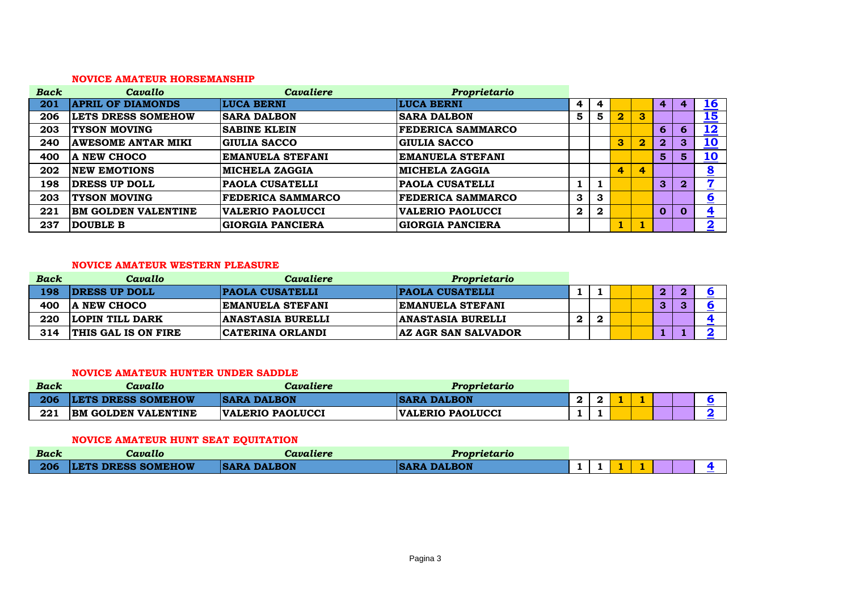#### **NOVICE AMATEUR HORSEMANSHIP**

| <b>Back</b> | Cavallo                    | Cavaliere                | Proprietario             |                  |          |                |                         |                |              |                               |
|-------------|----------------------------|--------------------------|--------------------------|------------------|----------|----------------|-------------------------|----------------|--------------|-------------------------------|
| 201         | <b>APRIL OF DIAMONDS</b>   | <b>LUCA BERNI</b>        | <b>LUCA BERNI</b>        | 4                | 4        |                |                         | 4              |              | <u>16</u>                     |
| 206         | <b>LETS DRESS SOMEHOW</b>  | <b>SARA DALBON</b>       | <b>SARA DALBON</b>       | 5                | 5        | $\overline{2}$ | $\mathbf{3}$            |                |              | $\overline{\mathbf{15}}$      |
| 203         | <b>TYSON MOVING</b>        | <b>SABINE KLEIN</b>      | <b>FEDERICA SAMMARCO</b> |                  |          |                |                         | 6              | O            | 12                            |
| 240         | <b>AWESOME ANTAR MIKI</b>  | <b>GIULIA SACCO</b>      | <b>GIULIA SACCO</b>      |                  |          | 3              | $\overline{\mathbf{2}}$ | $\mathbf{2}$   | $\mathbf{3}$ | <u>10</u>                     |
| 400         | <b>A NEW CHOCO</b>         | <b>EMANUELA STEFANI</b>  | <b>EMANUELA STEFANI</b>  |                  |          |                |                         | 5              | 5            | <u>10</u>                     |
| 202         | <b>INEW EMOTIONS</b>       | <b>MICHELA ZAGGIA</b>    | <b>MICHELA ZAGGIA</b>    |                  |          | 4              | 4                       |                |              | $\overline{\mathbf{8}}$       |
| 198         | <b>DRESS UP DOLL</b>       | <b>PAOLA CUSATELLI</b>   | <b>PAOLA CUSATELLI</b>   |                  |          |                |                         | 3              | $\mathbf{2}$ | 7<br><b>Contract Contract</b> |
| 203         | <b>TYSON MOVING</b>        | <b>FEDERICA SAMMARCO</b> | <b>FEDERICA SAMMARCO</b> | 3                | 3        |                |                         |                |              | $6 \overline{6}$              |
| 221         | <b>BM GOLDEN VALENTINE</b> | <b>VALERIO PAOLUCCI</b>  | <b>VALERIO PAOLUCCI</b>  | $\boldsymbol{2}$ | $\bf{2}$ |                |                         | $\overline{0}$ |              | $\overline{\mathbf{4}}$       |
| 237         | DOUBLE B                   | <b>GIORGIA PANCIERA</b>  | <b>GIORGIA PANCIERA</b>  |                  |          | ш.             |                         |                |              | $\overline{\mathbf{2}}$       |

#### **NOVICE AMATEUR WESTERN PLEASURE**

| <b>Back</b> | Cavallo                    | Cavaliere                | Proprietario               |    |   |  |              |  |
|-------------|----------------------------|--------------------------|----------------------------|----|---|--|--------------|--|
| 198         | <b>DRESS UP DOLL</b>       | <b>PAOLA CUSATELLI</b>   | <b>PAOLA CUSATELLI</b>     |    |   |  | $\mathbf{2}$ |  |
| 400         | <b>A NEW CHOCO</b>         | <b>EMANUELA STEFANI</b>  | <b>EMANUELA STEFANI</b>    |    |   |  | о.           |  |
| 220         | <b>LOPIN TILL DARK</b>     | <b>ANASTASIA BURELLI</b> | <b>ANASTASIA BURELLI</b>   | 2. | ◠ |  |              |  |
| 314         | <b>THIS GAL IS ON FIRE</b> | <b>CATERINA ORLANDI</b>  | <b>AZ AGR SAN SALVADOR</b> |    |   |  |              |  |

### **NOVICE AMATEUR HUNTER UNDER SADDLE**

| <b>Back</b> | Cavallo                    | Cavaliere               | Proprietario            |   |  |  |  |
|-------------|----------------------------|-------------------------|-------------------------|---|--|--|--|
| 206         | <b>LETS DRESS SOMEHOW</b>  | <b>SARA DALBON</b>      | <b>ISARA DALBON</b>     | - |  |  |  |
| 221         | <b>BM GOLDEN VALENTINE</b> | <b>VALERIO PAOLUCCI</b> | <b>VALERIO PAOLUCCI</b> |   |  |  |  |

## **NOVICE AMATEUR HUNT SEAT EQUITATION**

| <b>Back</b> | Cavallo                   | Cavaliere          | Proprietario        |  |  |  |  |
|-------------|---------------------------|--------------------|---------------------|--|--|--|--|
| $\vert$ 206 | <b>LETS DRESS SOMEHOW</b> | <b>SARA DALBON</b> | <b>ISARA DALBON</b> |  |  |  |  |